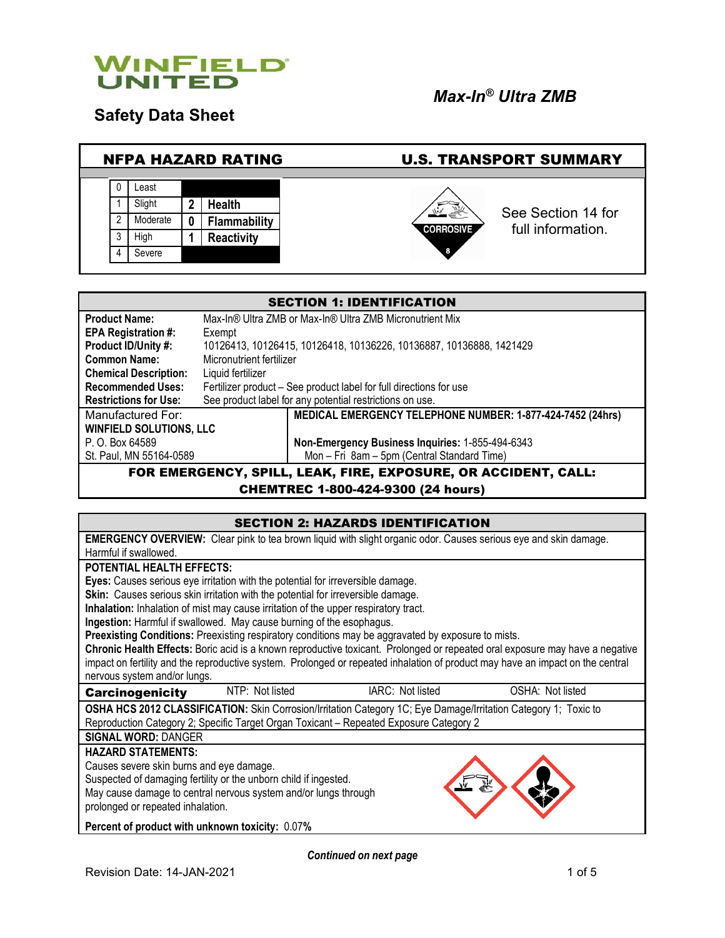

**Safety Data Sheet**

# *Max-In® Ultra ZMB*

#### NFPA HAZARD RATING U.S. TRANSPORT SUMMARY 0 Least 1 Slight **2 Health** See Section 14 for 2 Moderate **0 Flammability** full information.**CORROSIVE** 3 High **1 Reactivity** 4 Severe

| <b>SECTION 1: IDENTIFICATION</b>                                       |                                                                     |  |  |
|------------------------------------------------------------------------|---------------------------------------------------------------------|--|--|
| <b>Product Name:</b>                                                   | Max-In® Ultra ZMB or Max-In® Ultra ZMB Micronutrient Mix            |  |  |
| <b>EPA Registration #:</b>                                             | Exempt                                                              |  |  |
| Product ID/Unity #:                                                    | 10126413, 10126415, 10126418, 10136226, 10136887, 10136888, 1421429 |  |  |
| <b>Common Name:</b>                                                    | Micronutrient fertilizer                                            |  |  |
| <b>Chemical Description:</b>                                           | Liquid fertilizer                                                   |  |  |
| <b>Recommended Uses:</b>                                               | Fertilizer product – See product label for full directions for use  |  |  |
| <b>Restrictions for Use:</b>                                           | See product label for any potential restrictions on use.            |  |  |
| Manufactured For:                                                      | MEDICAL EMERGENCY TELEPHONE NUMBER: 1-877-424-7452 (24hrs)          |  |  |
| <b>WINFIELD SOLUTIONS, LLC</b>                                         |                                                                     |  |  |
| Non-Emergency Business Inquiries: 1-855-494-6343<br>P. O. Box 64589    |                                                                     |  |  |
| Mon - Fri 8am - 5pm (Central Standard Time)<br>St. Paul, MN 55164-0589 |                                                                     |  |  |
| FOR EMERGENCY, SPILL, LEAK, FIRE, EXPOSURE, OR ACCIDENT, CALL:         |                                                                     |  |  |

CHEMTREC 1-800-424-9300 (24 hours)

## SECTION 2: HAZARDS IDENTIFICATION **EMERGENCY OVERVIEW:** Clear pink to tea brown liquid with slight organic odor. Causes serious eye and skin damage. Harmful if swallowed. **POTENTIAL HEALTH EFFECTS: Eyes:** Causes serious eye irritation with the potential for irreversible damage. **Skin:** Causes serious skin irritation with the potential for irreversible damage. **Inhalation:** Inhalation of mist may cause irritation of the upper respiratory tract. **Ingestion:** Harmful if swallowed. May cause burning of the esophagus. **Preexisting Conditions:** Preexisting respiratory conditions may be aggravated by exposure to mists. **Chronic Health Effects:** Boric acid is a known reproductive toxicant. Prolonged or repeated oral exposure may have a negative impact on fertility and the reproductive system. Prolonged or repeated inhalation of product may have an impact on the central nervous system and/or lungs. Carcinogenicity NTP: Not listed IARC: Not listed OSHA: Not listed **OSHA HCS 2012 CLASSIFICATION:** Skin Corrosion/Irritation Category 1C; Eye Damage/Irritation Category 1; Toxic to Reproduction Category 2; Specific Target Organ Toxicant – Repeated Exposure Category 2 **SIGNAL WORD:** DANGER **HAZARD STATEMENTS:** Causes severe skin burns and eye damage. Suspected of damaging fertility or the unborn child if ingested. May cause damage to central nervous system and/or lungs through prolonged or repeated inhalation. **Percent of product with unknown toxicity:** 0.07**%**

*Continued on next page*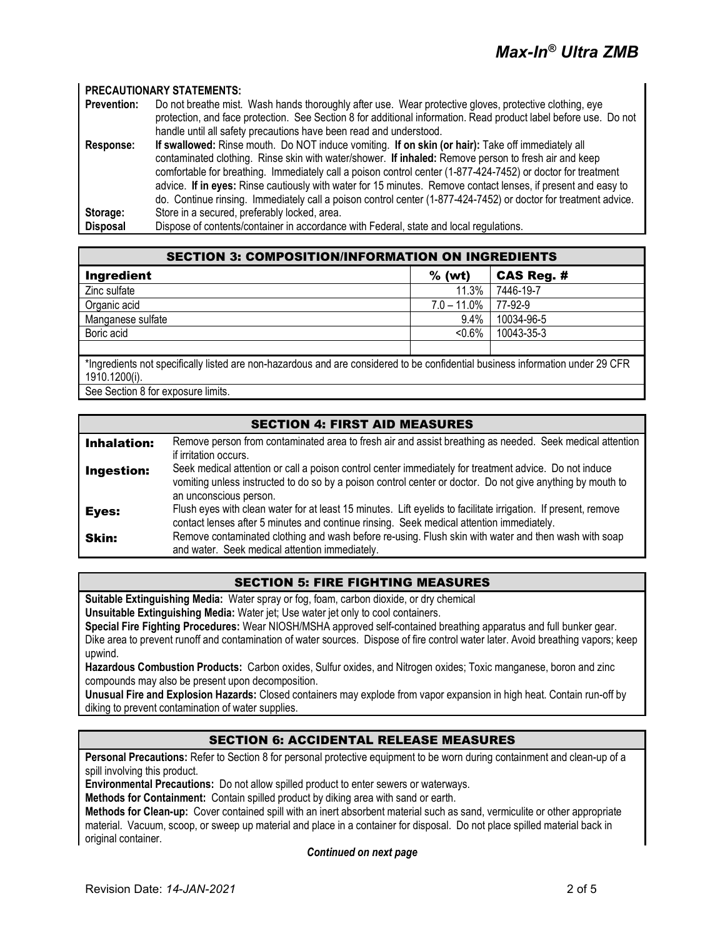#### **PRECAUTIONARY STATEMENTS:**

| <b>Prevention:</b> | Do not breathe mist. Wash hands thoroughly after use. Wear protective gloves, protective clothing, eye           |  |  |
|--------------------|------------------------------------------------------------------------------------------------------------------|--|--|
|                    | protection, and face protection. See Section 8 for additional information. Read product label before use. Do not |  |  |
|                    | handle until all safety precautions have been read and understood.                                               |  |  |
| Response:          | If swallowed: Rinse mouth. Do NOT induce vomiting. If on skin (or hair): Take off immediately all                |  |  |
|                    | contaminated clothing. Rinse skin with water/shower. If inhaled: Remove person to fresh air and keep             |  |  |
|                    | comfortable for breathing. Immediately call a poison control center (1-877-424-7452) or doctor for treatment     |  |  |
|                    | advice. If in eyes: Rinse cautiously with water for 15 minutes. Remove contact lenses, if present and easy to    |  |  |
|                    | do. Continue rinsing. Immediately call a poison control center (1-877-424-7452) or doctor for treatment advice.  |  |  |
| Storage:           | Store in a secured, preferably locked, area.                                                                     |  |  |
| <b>Disposal</b>    | Dispose of contents/container in accordance with Federal, state and local regulations.                           |  |  |

| <b>SECTION 3: COMPOSITION/INFORMATION ON INGREDIENTS</b>                                                                                        |                |            |  |
|-------------------------------------------------------------------------------------------------------------------------------------------------|----------------|------------|--|
| Ingredient                                                                                                                                      | $%$ (wt)       | CAS Reg. # |  |
| Zinc sulfate                                                                                                                                    | 11.3%          | 7446-19-7  |  |
| Organic acid                                                                                                                                    | $7.0 - 11.0\%$ | 77-92-9    |  |
| Manganese sulfate                                                                                                                               | $9.4\%$        | 10034-96-5 |  |
| Boric acid                                                                                                                                      | $< 0.6\%$      | 10043-35-3 |  |
|                                                                                                                                                 |                |            |  |
| *Ingredients not specifically listed are non-hazardous and are considered to be confidential business information under 29 CFR<br>1910.1200(i). |                |            |  |

See Section 8 for exposure limits.

## SECTION 4: FIRST AID MEASURES **Inhalation:** Remove person from contaminated area to fresh air and assist breathing as needed. Seek medical attention if irritation occurs. **Ingestion:** Seek medical attention or call a poison control center immediately for treatment advice. Do not induce vomiting unless instructed to do so by a poison control center or doctor. Do not give anything by mouth to an unconscious person. Eves: Flush eyes with clean water for at least 15 minutes. Lift eyelids to facilitate irrigation. If present, remove contact lenses after 5 minutes and continue rinsing. Seek medical attention immediately. **Skin:** Remove contaminated clothing and wash before re-using. Flush skin with water and then wash with soap and water. Seek medical attention immediately.

## SECTION 5: FIRE FIGHTING MEASURES

**Suitable Extinguishing Media:** Water spray or fog, foam, carbon dioxide, or dry chemical

**Unsuitable Extinguishing Media:** Water jet; Use water jet only to cool containers.

**Special Fire Fighting Procedures:** Wear NIOSH/MSHA approved self-contained breathing apparatus and full bunker gear. Dike area to prevent runoff and contamination of water sources. Dispose of fire control water later. Avoid breathing vapors; keep upwind.

**Hazardous Combustion Products:** Carbon oxides, Sulfur oxides, and Nitrogen oxides; Toxic manganese, boron and zinc compounds may also be present upon decomposition.

**Unusual Fire and Explosion Hazards:** Closed containers may explode from vapor expansion in high heat. Contain run-off by diking to prevent contamination of water supplies.

## SECTION 6: ACCIDENTAL RELEASE MEASURES

**Personal Precautions:** Refer to Section 8 for personal protective equipment to be worn during containment and clean-up of a spill involving this product.

**Environmental Precautions:** Do not allow spilled product to enter sewers or waterways.

**Methods for Containment:** Contain spilled product by diking area with sand or earth.

**Methods for Clean-up:** Cover contained spill with an inert absorbent material such as sand, vermiculite or other appropriate material. Vacuum, scoop, or sweep up material and place in a container for disposal. Do not place spilled material back in original container.

*Continued on next page*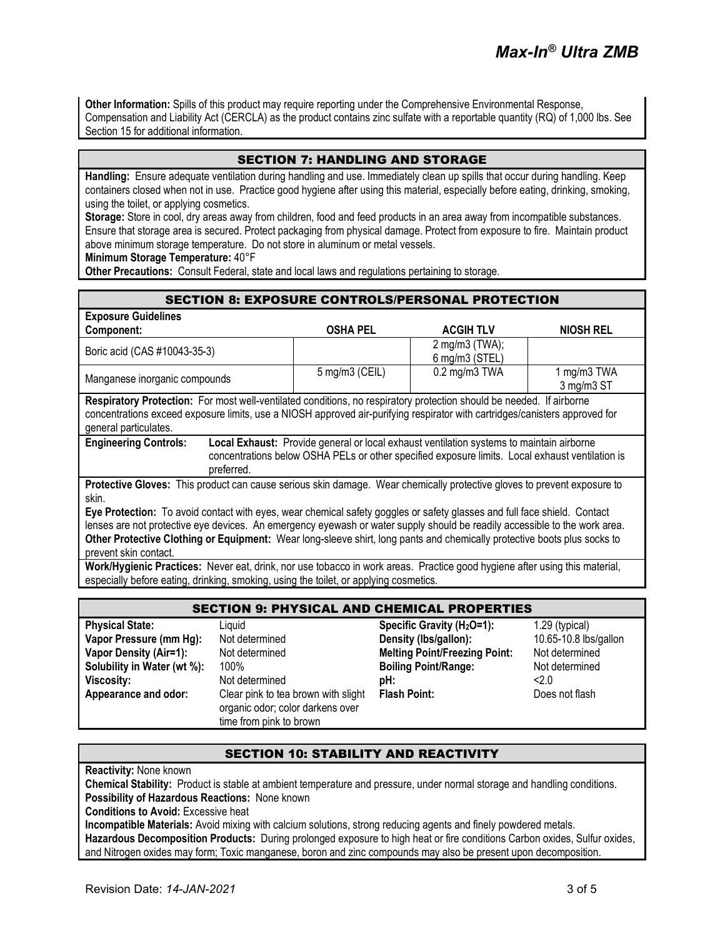**Other Information:** Spills of this product may require reporting under the Comprehensive Environmental Response, Compensation and Liability Act (CERCLA) as the product contains zinc sulfate with a reportable quantity (RQ) of 1,000 lbs. See Section 15 for additional information.

# SECTION 7: HANDLING AND STORAGE

**Handling:** Ensure adequate ventilation during handling and use. Immediately clean up spills that occur during handling. Keep containers closed when not in use. Practice good hygiene after using this material, especially before eating, drinking, smoking, using the toilet, or applying cosmetics.

**Storage:** Store in cool, dry areas away from children, food and feed products in an area away from incompatible substances. Ensure that storage area is secured. Protect packaging from physical damage. Protect from exposure to fire. Maintain product above minimum storage temperature. Do not store in aluminum or metal vessels.

**Minimum Storage Temperature:** 40°F

**Other Precautions:** Consult Federal, state and local laws and regulations pertaining to storage.

#### SECTION 8: EXPOSURE CONTROLS/PERSONAL PROTECTION

| <b>Exposure Guidelines</b>                                                                                                                                                                                                                                                   |                 |                                       |                           |
|------------------------------------------------------------------------------------------------------------------------------------------------------------------------------------------------------------------------------------------------------------------------------|-----------------|---------------------------------------|---------------------------|
| Component:                                                                                                                                                                                                                                                                   | <b>OSHA PEL</b> | <b>ACGIH TLV</b>                      | <b>NIOSH REL</b>          |
| Boric acid (CAS #10043-35-3)                                                                                                                                                                                                                                                 |                 | $2$ mg/m $3$ (TWA);<br>6 mg/m3 (STEL) |                           |
| Manganese inorganic compounds                                                                                                                                                                                                                                                | 5 mg/m3 (CEIL)  | 0.2 mg/m3 TWA                         | 1 mg/m3 TWA<br>3 mg/m3 ST |
| Respiratory Protection: For most well-ventilated conditions, no respiratory protection should be needed. If airborne<br>concentrations exceed exposure limits, use a NIOSH approved air-purifying respirator with cartridges/canisters approved for<br>general particulates. |                 |                                       |                           |
| <b>Engineering Controls:</b><br>Local Exhaust: Provide general or local exhaust ventilation systems to maintain airborne<br>concentrations below OSHA PELs or other specified exposure limits. Local exhaust ventilation is<br>preferred.                                    |                 |                                       |                           |
| Protective Gloves: This product can cause serious skin damage. Wear chemically protective gloves to prevent exposure to<br>skin.                                                                                                                                             |                 |                                       |                           |
| Eye Protection: To avoid contact with eyes, wear chemical safety goggles or safety glasses and full face shield. Contact<br>lenses are not protective eye devices. An emergency eyewash or water supply should be readily accessible to the work area.                       |                 |                                       |                           |

**Other Protective Clothing or Equipment:** Wear long-sleeve shirt, long pants and chemically protective boots plus socks to prevent skin contact.

**Work/Hygienic Practices:** Never eat, drink, nor use tobacco in work areas. Practice good hygiene after using this material, especially before eating, drinking, smoking, using the toilet, or applying cosmetics.

| <b>SECTION 9: PHYSICAL AND CHEMICAL PROPERTIES</b> |                                                                                                    |                                        |                       |
|----------------------------------------------------|----------------------------------------------------------------------------------------------------|----------------------------------------|-----------------------|
| <b>Physical State:</b>                             | Liauid                                                                                             | Specific Gravity (H <sub>2</sub> O=1): | 1.29 (typical)        |
| Vapor Pressure (mm Hg):                            | Not determined                                                                                     | Density (Ibs/gallon):                  | 10.65-10.8 lbs/gallon |
| <b>Vapor Density (Air=1):</b>                      | Not determined                                                                                     | <b>Melting Point/Freezing Point:</b>   | Not determined        |
| Solubility in Water (wt %):                        | 100%                                                                                               | <b>Boiling Point/Range:</b>            | Not determined        |
| <b>Viscosity:</b>                                  | Not determined                                                                                     | pH:                                    | 2.0                   |
| Appearance and odor:                               | Clear pink to tea brown with slight<br>organic odor; color darkens over<br>time from pink to brown | <b>Flash Point:</b>                    | Does not flash        |

## SECTION 10: STABILITY AND REACTIVITY

**Reactivity:** None known

**Chemical Stability:** Product is stable at ambient temperature and pressure, under normal storage and handling conditions. **Possibility of Hazardous Reactions:** None known

**Conditions to Avoid:** Excessive heat

**Incompatible Materials:** Avoid mixing with calcium solutions, strong reducing agents and finely powdered metals. **Hazardous Decomposition Products:** During prolonged exposure to high heat or fire conditions Carbon oxides, Sulfur oxides, and Nitrogen oxides may form; Toxic manganese, boron and zinc compounds may also be present upon decomposition.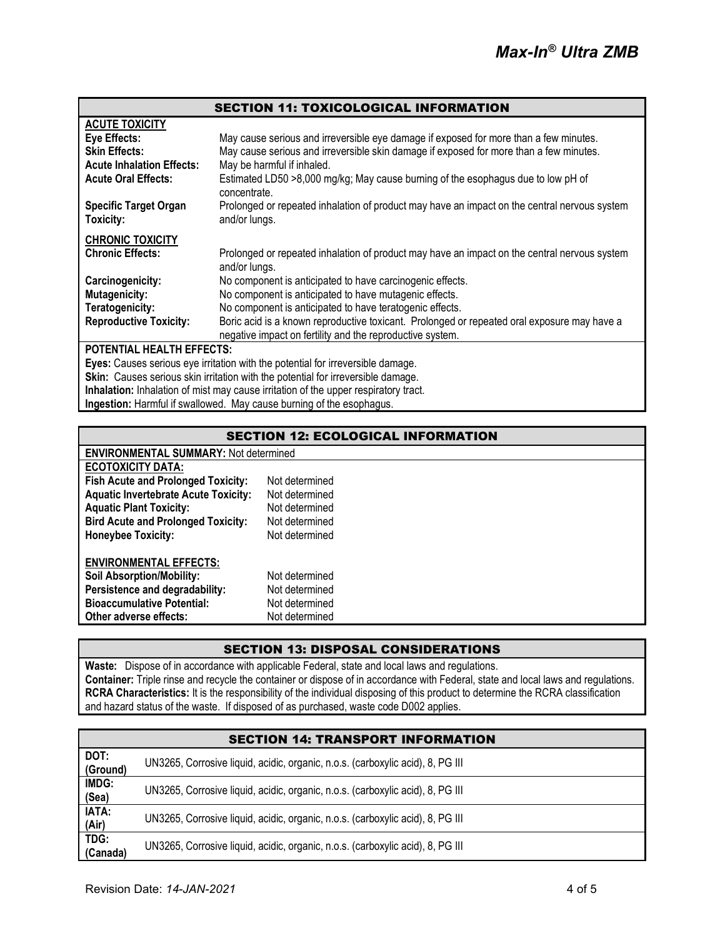|                                                                                     | <b>SECTION 11: TOXICOLOGICAL INFORMATION</b>                                                                  |  |
|-------------------------------------------------------------------------------------|---------------------------------------------------------------------------------------------------------------|--|
| <b>ACUTE TOXICITY</b>                                                               |                                                                                                               |  |
| Eye Effects:                                                                        | May cause serious and irreversible eye damage if exposed for more than a few minutes.                         |  |
| <b>Skin Effects:</b>                                                                | May cause serious and irreversible skin damage if exposed for more than a few minutes.                        |  |
| <b>Acute Inhalation Effects:</b>                                                    | May be harmful if inhaled.                                                                                    |  |
| <b>Acute Oral Effects:</b>                                                          | Estimated LD50 >8,000 mg/kg; May cause burning of the esophagus due to low pH of<br>concentrate.              |  |
| <b>Specific Target Organ</b><br>Toxicity:                                           | Prolonged or repeated inhalation of product may have an impact on the central nervous system<br>and/or lungs. |  |
| <b>CHRONIC TOXICITY</b>                                                             |                                                                                                               |  |
| <b>Chronic Effects:</b>                                                             | Prolonged or repeated inhalation of product may have an impact on the central nervous system<br>and/or lungs. |  |
| Carcinogenicity:                                                                    | No component is anticipated to have carcinogenic effects.                                                     |  |
| <b>Mutagenicity:</b>                                                                | No component is anticipated to have mutagenic effects.                                                        |  |
| Teratogenicity:                                                                     | No component is anticipated to have teratogenic effects.                                                      |  |
| <b>Reproductive Toxicity:</b>                                                       | Boric acid is a known reproductive toxicant. Prolonged or repeated oral exposure may have a                   |  |
|                                                                                     | negative impact on fertility and the reproductive system.                                                     |  |
| POTENTIAL HEALTH EFFECTS:                                                           |                                                                                                               |  |
| Eyes: Causes serious eye irritation with the potential for irreversible damage.     |                                                                                                               |  |
| Skin: Causes serious skin irritation with the potential for irreversible damage.    |                                                                                                               |  |
| Inhalation: Inhalation of mist may cause irritation of the upper respiratory tract. |                                                                                                               |  |

**Ingestion:** Harmful if swallowed. May cause burning of the esophagus.

| <b>SECTION 12: ECOLOGICAL INFORMATION</b>    |                |  |
|----------------------------------------------|----------------|--|
| <b>ENVIRONMENTAL SUMMARY: Not determined</b> |                |  |
| <b>ECOTOXICITY DATA:</b>                     |                |  |
| <b>Fish Acute and Prolonged Toxicity:</b>    | Not determined |  |
| <b>Aquatic Invertebrate Acute Toxicity:</b>  | Not determined |  |
| <b>Aquatic Plant Toxicity:</b>               | Not determined |  |
| <b>Bird Acute and Prolonged Toxicity:</b>    | Not determined |  |
| <b>Honeybee Toxicity:</b>                    | Not determined |  |
| <b>ENVIRONMENTAL EFFECTS:</b>                |                |  |
| <b>Soil Absorption/Mobility:</b>             | Not determined |  |
| Persistence and degradability:               | Not determined |  |
| <b>Bioaccumulative Potential:</b>            | Not determined |  |
| Other adverse effects:                       | Not determined |  |

# SECTION 13: DISPOSAL CONSIDERATIONS

**Waste:** Dispose of in accordance with applicable Federal, state and local laws and regulations. **Container:** Triple rinse and recycle the container or dispose of in accordance with Federal, state and local laws and regulations. **RCRA Characteristics:** It is the responsibility of the individual disposing of this product to determine the RCRA classification and hazard status of the waste. If disposed of as purchased, waste code D002 applies.

| <b>SECTION 14: TRANSPORT INFORMATION</b> |                                                                                |  |  |
|------------------------------------------|--------------------------------------------------------------------------------|--|--|
| DOT:<br>(Ground)                         | UN3265, Corrosive liquid, acidic, organic, n.o.s. (carboxylic acid), 8, PG III |  |  |
| IMDG:<br>(Sea)                           | UN3265, Corrosive liquid, acidic, organic, n.o.s. (carboxylic acid), 8, PG III |  |  |
| <b>IATA:</b><br>(Air)                    | UN3265, Corrosive liquid, acidic, organic, n.o.s. (carboxylic acid), 8, PG III |  |  |
| TDG:<br>(Canada)                         | UN3265, Corrosive liquid, acidic, organic, n.o.s. (carboxylic acid), 8, PG III |  |  |